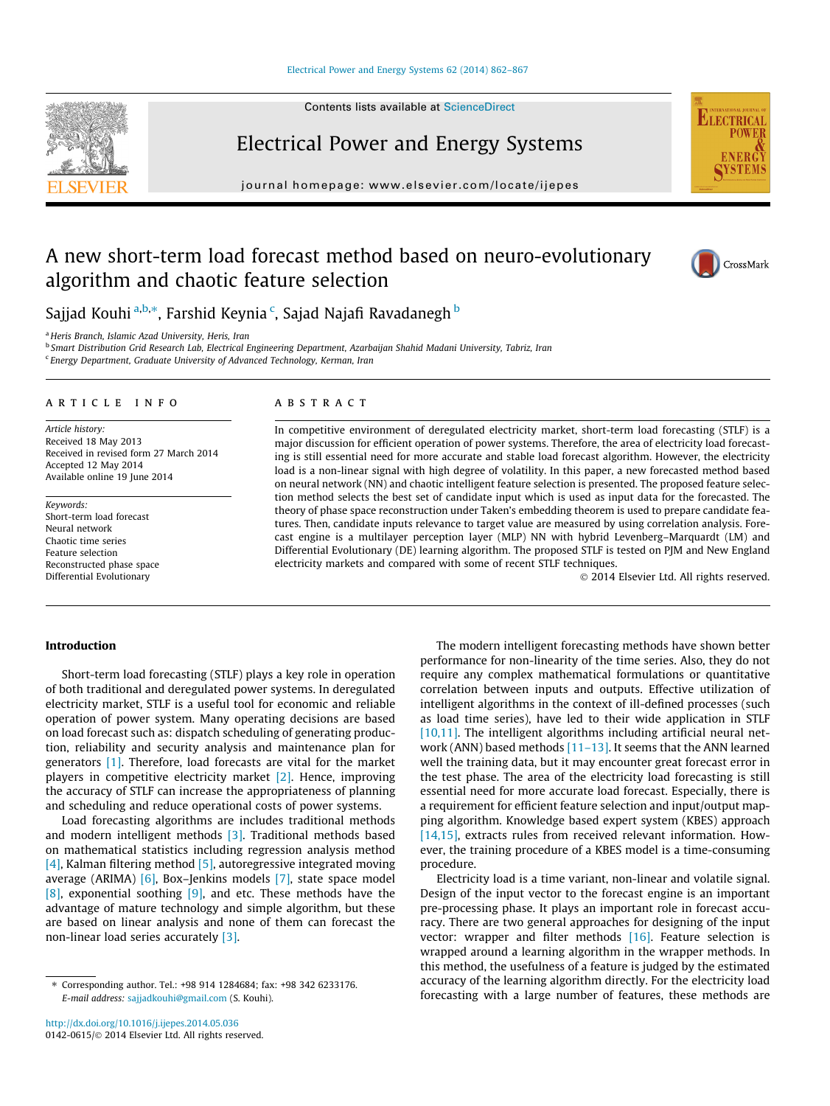#### [Electrical Power and Energy Systems 62 \(2014\) 862–867](http://dx.doi.org/10.1016/j.ijepes.2014.05.036)

Contents lists available at [ScienceDirect](http://www.sciencedirect.com/science/journal/01420615)

Electrical Power and Energy Systems



journal homepage: [www.elsevier.com/locate/ijepes](http://www.elsevier.com/locate/ijepes)

## A new short-term load forecast method based on neuro-evolutionary algorithm and chaotic feature selection



Sajjad Kouhi <sup>a,b,</sup>\*, Farshid Keynia <sup>c</sup>, Sajad Najafi Ravadanegh <sup>b</sup>

<sup>a</sup> Heris Branch, Islamic Azad University, Heris, Iran

<sup>b</sup> Smart Distribution Grid Research Lab, Electrical Engineering Department, Azarbaijan Shahid Madani University, Tabriz, Iran

<sup>c</sup> Energy Department, Graduate University of Advanced Technology, Kerman, Iran

### article info

Article history: Received 18 May 2013 Received in revised form 27 March 2014 Accepted 12 May 2014 Available online 19 June 2014

Keywords: Short-term load forecast Neural network Chaotic time series Feature selection Reconstructed phase space Differential Evolutionary

#### ABSTRACT

In competitive environment of deregulated electricity market, short-term load forecasting (STLF) is a major discussion for efficient operation of power systems. Therefore, the area of electricity load forecasting is still essential need for more accurate and stable load forecast algorithm. However, the electricity load is a non-linear signal with high degree of volatility. In this paper, a new forecasted method based on neural network (NN) and chaotic intelligent feature selection is presented. The proposed feature selection method selects the best set of candidate input which is used as input data for the forecasted. The theory of phase space reconstruction under Taken's embedding theorem is used to prepare candidate features. Then, candidate inputs relevance to target value are measured by using correlation analysis. Forecast engine is a multilayer perception layer (MLP) NN with hybrid Levenberg–Marquardt (LM) and Differential Evolutionary (DE) learning algorithm. The proposed STLF is tested on PJM and New England electricity markets and compared with some of recent STLF techniques.

- 2014 Elsevier Ltd. All rights reserved.

#### Introduction

Short-term load forecasting (STLF) plays a key role in operation of both traditional and deregulated power systems. In deregulated electricity market, STLF is a useful tool for economic and reliable operation of power system. Many operating decisions are based on load forecast such as: dispatch scheduling of generating production, reliability and security analysis and maintenance plan for generators [\[1\]](#page--1-0). Therefore, load forecasts are vital for the market players in competitive electricity market [\[2\].](#page--1-0) Hence, improving the accuracy of STLF can increase the appropriateness of planning and scheduling and reduce operational costs of power systems.

Load forecasting algorithms are includes traditional methods and modern intelligent methods [\[3\]](#page--1-0). Traditional methods based on mathematical statistics including regression analysis method [\[4\]](#page--1-0), Kalman filtering method  $[5]$ , autoregressive integrated moving average (ARIMA) [\[6\],](#page--1-0) Box–Jenkins models [\[7\]](#page--1-0), state space model [\[8\]](#page--1-0), exponential soothing [\[9\]](#page--1-0), and etc. These methods have the advantage of mature technology and simple algorithm, but these are based on linear analysis and none of them can forecast the non-linear load series accurately [\[3\]](#page--1-0).

The modern intelligent forecasting methods have shown better performance for non-linearity of the time series. Also, they do not require any complex mathematical formulations or quantitative correlation between inputs and outputs. Effective utilization of intelligent algorithms in the context of ill-defined processes (such as load time series), have led to their wide application in STLF  $[10,11]$ . The intelligent algorithms including artificial neural network (ANN) based methods  $[11-13]$ . It seems that the ANN learned well the training data, but it may encounter great forecast error in the test phase. The area of the electricity load forecasting is still essential need for more accurate load forecast. Especially, there is a requirement for efficient feature selection and input/output mapping algorithm. Knowledge based expert system (KBES) approach [\[14,15\],](#page--1-0) extracts rules from received relevant information. However, the training procedure of a KBES model is a time-consuming procedure.

Electricity load is a time variant, non-linear and volatile signal. Design of the input vector to the forecast engine is an important pre-processing phase. It plays an important role in forecast accuracy. There are two general approaches for designing of the input vector: wrapper and filter methods [\[16\].](#page--1-0) Feature selection is wrapped around a learning algorithm in the wrapper methods. In this method, the usefulness of a feature is judged by the estimated accuracy of the learning algorithm directly. For the electricity load forecasting with a large number of features, these methods are

<sup>⇑</sup> Corresponding author. Tel.: +98 914 1284684; fax: +98 342 6233176. E-mail address: [sajjadkouhi@gmail.com](mailto:sajjadkouhi@gmail.com) (S. Kouhi).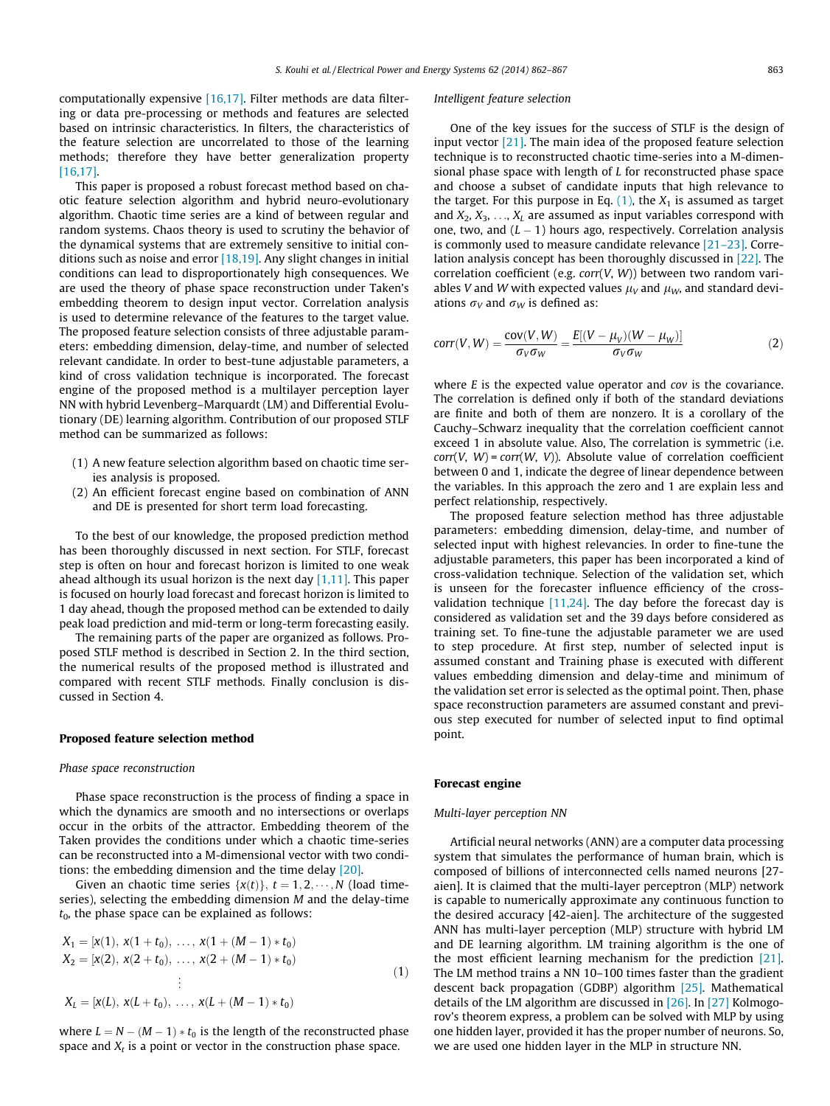computationally expensive [\[16,17\].](#page--1-0) Filter methods are data filtering or data pre-processing or methods and features are selected based on intrinsic characteristics. In filters, the characteristics of the feature selection are uncorrelated to those of the learning methods; therefore they have better generalization property [\[16,17\]](#page--1-0).

This paper is proposed a robust forecast method based on chaotic feature selection algorithm and hybrid neuro-evolutionary algorithm. Chaotic time series are a kind of between regular and random systems. Chaos theory is used to scrutiny the behavior of the dynamical systems that are extremely sensitive to initial conditions such as noise and error  $[18,19]$ . Any slight changes in initial conditions can lead to disproportionately high consequences. We are used the theory of phase space reconstruction under Taken's embedding theorem to design input vector. Correlation analysis is used to determine relevance of the features to the target value. The proposed feature selection consists of three adjustable parameters: embedding dimension, delay-time, and number of selected relevant candidate. In order to best-tune adjustable parameters, a kind of cross validation technique is incorporated. The forecast engine of the proposed method is a multilayer perception layer NN with hybrid Levenberg–Marquardt (LM) and Differential Evolutionary (DE) learning algorithm. Contribution of our proposed STLF method can be summarized as follows:

- (1) A new feature selection algorithm based on chaotic time series analysis is proposed.
- (2) An efficient forecast engine based on combination of ANN and DE is presented for short term load forecasting.

To the best of our knowledge, the proposed prediction method has been thoroughly discussed in next section. For STLF, forecast step is often on hour and forecast horizon is limited to one weak ahead although its usual horizon is the next day  $[1,11]$ . This paper is focused on hourly load forecast and forecast horizon is limited to 1 day ahead, though the proposed method can be extended to daily peak load prediction and mid-term or long-term forecasting easily.

The remaining parts of the paper are organized as follows. Proposed STLF method is described in Section 2. In the third section, the numerical results of the proposed method is illustrated and compared with recent STLF methods. Finally conclusion is discussed in Section 4.

#### Proposed feature selection method

#### Phase space reconstruction

Phase space reconstruction is the process of finding a space in which the dynamics are smooth and no intersections or overlaps occur in the orbits of the attractor. Embedding theorem of the Taken provides the conditions under which a chaotic time-series can be reconstructed into a M-dimensional vector with two conditions: the embedding dimension and the time delay [\[20\]](#page--1-0).

Given an chaotic time series  $\{x(t)\}, t = 1, 2, \dots, N$  (load timeseries), selecting the embedding dimension M and the delay-time  $t_0$ , the phase space can be explained as follows:

$$
X_1 = [x(1), x(1 + t_0), ..., x(1 + (M - 1) * t_0)
$$
  
\n
$$
X_2 = [x(2), x(2 + t_0), ..., x(2 + (M - 1) * t_0)
$$
  
\n
$$
\vdots
$$
  
\n
$$
X_L = [x(L), x(L + t_0), ..., x(L + (M - 1) * t_0)
$$
\n(1)

where  $L = N - (M - 1) * t_0$  is the length of the reconstructed phase space and  $X_t$  is a point or vector in the construction phase space.

#### Intelligent feature selection

One of the key issues for the success of STLF is the design of input vector [\[21\].](#page--1-0) The main idea of the proposed feature selection technique is to reconstructed chaotic time-series into a M-dimensional phase space with length of L for reconstructed phase space and choose a subset of candidate inputs that high relevance to the target. For this purpose in Eq.  $(1)$ , the  $X_1$  is assumed as target and  $X_2, X_3, \ldots, X_k$  are assumed as input variables correspond with one, two, and  $(L - 1)$  hours ago, respectively. Correlation analysis is commonly used to measure candidate relevance [\[21–23\].](#page--1-0) Correlation analysis concept has been thoroughly discussed in [\[22\]](#page--1-0). The correlation coefficient (e.g.  $corr(V, W)$ ) between two random variables V and W with expected values  $\mu_V$  and  $\mu_W$ , and standard deviations  $\sigma_V$  and  $\sigma_W$  is defined as:

$$
corr(V, W) = \frac{cov(V, W)}{\sigma_V \sigma_W} = \frac{E[(V - \mu_V)(W - \mu_W)]}{\sigma_V \sigma_W}
$$
 (2)

where  $E$  is the expected value operator and  $cov$  is the covariance. The correlation is defined only if both of the standard deviations are finite and both of them are nonzero. It is a corollary of the Cauchy–Schwarz inequality that the correlation coefficient cannot exceed 1 in absolute value. Also, The correlation is symmetric (i.e.  $corr(V, W) = corr(W, V)$ . Absolute value of correlation coefficient between 0 and 1, indicate the degree of linear dependence between the variables. In this approach the zero and 1 are explain less and perfect relationship, respectively.

The proposed feature selection method has three adjustable parameters: embedding dimension, delay-time, and number of selected input with highest relevancies. In order to fine-tune the adjustable parameters, this paper has been incorporated a kind of cross-validation technique. Selection of the validation set, which is unseen for the forecaster influence efficiency of the crossvalidation technique  $[11,24]$ . The day before the forecast day is considered as validation set and the 39 days before considered as training set. To fine-tune the adjustable parameter we are used to step procedure. At first step, number of selected input is assumed constant and Training phase is executed with different values embedding dimension and delay-time and minimum of the validation set error is selected as the optimal point. Then, phase space reconstruction parameters are assumed constant and previous step executed for number of selected input to find optimal point.

#### Forecast engine

#### Multi-layer perception NN

Artificial neural networks (ANN) are a computer data processing system that simulates the performance of human brain, which is composed of billions of interconnected cells named neurons [27 aien]. It is claimed that the multi-layer perceptron (MLP) network is capable to numerically approximate any continuous function to the desired accuracy [42-aien]. The architecture of the suggested ANN has multi-layer perception (MLP) structure with hybrid LM and DE learning algorithm. LM training algorithm is the one of the most efficient learning mechanism for the prediction [\[21\].](#page--1-0) The LM method trains a NN 10–100 times faster than the gradient descent back propagation (GDBP) algorithm [\[25\]](#page--1-0). Mathematical details of the LM algorithm are discussed in [\[26\]](#page--1-0). In [\[27\]](#page--1-0) Kolmogorov's theorem express, a problem can be solved with MLP by using one hidden layer, provided it has the proper number of neurons. So, we are used one hidden layer in the MLP in structure NN.